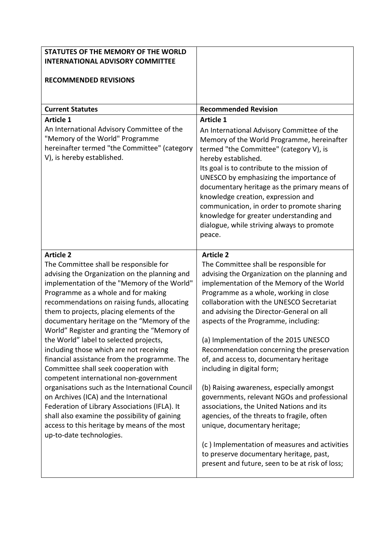| STATUTES OF THE MEMORY OF THE WORLD<br><b>INTERNATIONAL ADVISORY COMMITTEE</b><br><b>RECOMMENDED REVISIONS</b>                                                                                                                                                                                                                                                                                                                                                                                                                                                                                                                                                                                                                                                                                                                                                                                  |                                                                                                                                                                                                                                                                                                                                                                                                                                                                                                                                                                                                                                                                                                                            |
|-------------------------------------------------------------------------------------------------------------------------------------------------------------------------------------------------------------------------------------------------------------------------------------------------------------------------------------------------------------------------------------------------------------------------------------------------------------------------------------------------------------------------------------------------------------------------------------------------------------------------------------------------------------------------------------------------------------------------------------------------------------------------------------------------------------------------------------------------------------------------------------------------|----------------------------------------------------------------------------------------------------------------------------------------------------------------------------------------------------------------------------------------------------------------------------------------------------------------------------------------------------------------------------------------------------------------------------------------------------------------------------------------------------------------------------------------------------------------------------------------------------------------------------------------------------------------------------------------------------------------------------|
|                                                                                                                                                                                                                                                                                                                                                                                                                                                                                                                                                                                                                                                                                                                                                                                                                                                                                                 |                                                                                                                                                                                                                                                                                                                                                                                                                                                                                                                                                                                                                                                                                                                            |
| <b>Current Statutes</b><br><b>Article 1</b>                                                                                                                                                                                                                                                                                                                                                                                                                                                                                                                                                                                                                                                                                                                                                                                                                                                     | <b>Recommended Revision</b><br><b>Article 1</b>                                                                                                                                                                                                                                                                                                                                                                                                                                                                                                                                                                                                                                                                            |
| An International Advisory Committee of the<br>"Memory of the World" Programme<br>hereinafter termed "the Committee" (category<br>V), is hereby established.                                                                                                                                                                                                                                                                                                                                                                                                                                                                                                                                                                                                                                                                                                                                     | An International Advisory Committee of the<br>Memory of the World Programme, hereinafter<br>termed "the Committee" (category V), is<br>hereby established.<br>Its goal is to contribute to the mission of<br>UNESCO by emphasizing the importance of<br>documentary heritage as the primary means of<br>knowledge creation, expression and<br>communication, in order to promote sharing<br>knowledge for greater understanding and<br>dialogue, while striving always to promote<br>peace.                                                                                                                                                                                                                                |
| <b>Article 2</b><br>The Committee shall be responsible for<br>advising the Organization on the planning and<br>implementation of the "Memory of the World"<br>Programme as a whole and for making<br>recommendations on raising funds, allocating<br>them to projects, placing elements of the<br>documentary heritage on the "Memory of the<br>World" Register and granting the "Memory of<br>the World" label to selected projects,<br>including those which are not receiving<br>financial assistance from the programme. The<br>Committee shall seek cooperation with<br>competent international non-government<br>organisations such as the International Council<br>on Archives (ICA) and the International<br>Federation of Library Associations (IFLA). It<br>shall also examine the possibility of gaining<br>access to this heritage by means of the most<br>up-to-date technologies. | <b>Article 2</b><br>The Committee shall be responsible for<br>advising the Organization on the planning and<br>implementation of the Memory of the World<br>Programme as a whole, working in close<br>collaboration with the UNESCO Secretariat<br>and advising the Director-General on all<br>aspects of the Programme, including:<br>(a) Implementation of the 2015 UNESCO<br>Recommendation concerning the preservation<br>of, and access to, documentary heritage<br>including in digital form;<br>(b) Raising awareness, especially amongst<br>governments, relevant NGOs and professional<br>associations, the United Nations and its<br>agencies, of the threats to fragile, often<br>unique, documentary heritage; |
|                                                                                                                                                                                                                                                                                                                                                                                                                                                                                                                                                                                                                                                                                                                                                                                                                                                                                                 | (c) Implementation of measures and activities<br>to preserve documentary heritage, past,<br>present and future, seen to be at risk of loss;                                                                                                                                                                                                                                                                                                                                                                                                                                                                                                                                                                                |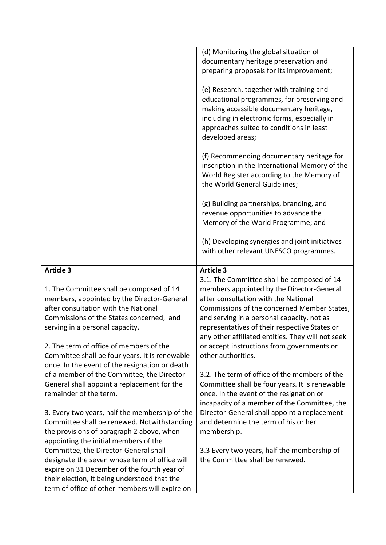|                                                | (d) Monitoring the global situation of            |
|------------------------------------------------|---------------------------------------------------|
|                                                | documentary heritage preservation and             |
|                                                | preparing proposals for its improvement;          |
|                                                | (e) Research, together with training and          |
|                                                | educational programmes, for preserving and        |
|                                                | making accessible documentary heritage,           |
|                                                | including in electronic forms, especially in      |
|                                                | approaches suited to conditions in least          |
|                                                | developed areas;                                  |
|                                                |                                                   |
|                                                | (f) Recommending documentary heritage for         |
|                                                | inscription in the International Memory of the    |
|                                                | World Register according to the Memory of         |
|                                                | the World General Guidelines;                     |
|                                                | (g) Building partnerships, branding, and          |
|                                                | revenue opportunities to advance the              |
|                                                | Memory of the World Programme; and                |
|                                                |                                                   |
|                                                | (h) Developing synergies and joint initiatives    |
|                                                | with other relevant UNESCO programmes.            |
| <b>Article 3</b>                               | <b>Article 3</b>                                  |
|                                                | 3.1. The Committee shall be composed of 14        |
| 1. The Committee shall be composed of 14       | members appointed by the Director-General         |
| members, appointed by the Director-General     | after consultation with the National              |
| after consultation with the National           | Commissions of the concerned Member States,       |
| Commissions of the States concerned, and       | and serving in a personal capacity, not as        |
| serving in a personal capacity.                | representatives of their respective States or     |
|                                                | any other affiliated entities. They will not seek |
| 2. The term of office of members of the        | or accept instructions from governments or        |
| Committee shall be four years. It is renewable | other authorities.                                |
| once. In the event of the resignation or death |                                                   |
| of a member of the Committee, the Director-    | 3.2. The term of office of the members of the     |
| General shall appoint a replacement for the    | Committee shall be four years. It is renewable    |
| remainder of the term.                         | once. In the event of the resignation or          |
|                                                | incapacity of a member of the Committee, the      |
| 3. Every two years, half the membership of the | Director-General shall appoint a replacement      |
| Committee shall be renewed. Notwithstanding    | and determine the term of his or her              |
| the provisions of paragraph 2 above, when      | membership.                                       |
| appointing the initial members of the          |                                                   |
| Committee, the Director-General shall          | 3.3 Every two years, half the membership of       |
| designate the seven whose term of office will  | the Committee shall be renewed.                   |
| expire on 31 December of the fourth year of    |                                                   |
| their election, it being understood that the   |                                                   |
| term of office of other members will expire on |                                                   |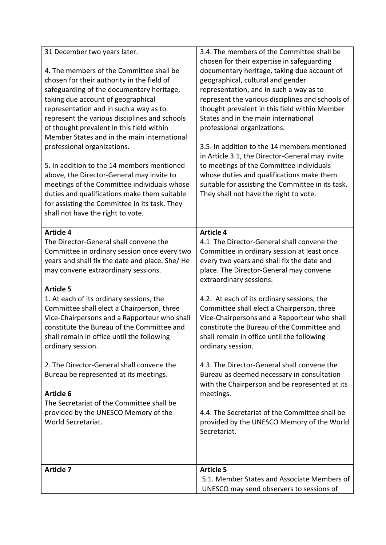| 31 December two years later.<br>4. The members of the Committee shall be<br>chosen for their authority in the field of<br>safeguarding of the documentary heritage,<br>taking due account of geographical<br>representation and in such a way as to<br>represent the various disciplines and schools<br>of thought prevalent in this field within<br>Member States and in the main international<br>professional organizations.<br>5. In addition to the 14 members mentioned<br>above, the Director-General may invite to<br>meetings of the Committee individuals whose<br>duties and qualifications make them suitable<br>for assisting the Committee in its task. They<br>shall not have the right to vote. | 3.4. The members of the Committee shall be<br>chosen for their expertise in safeguarding<br>documentary heritage, taking due account of<br>geographical, cultural and gender<br>representation, and in such a way as to<br>represent the various disciplines and schools of<br>thought prevalent in this field within Member<br>States and in the main international<br>professional organizations.<br>3.5. In addition to the 14 members mentioned<br>in Article 3.1, the Director-General may invite<br>to meetings of the Committee individuals<br>whose duties and qualifications make them<br>suitable for assisting the Committee in its task.<br>They shall not have the right to vote.               |
|-----------------------------------------------------------------------------------------------------------------------------------------------------------------------------------------------------------------------------------------------------------------------------------------------------------------------------------------------------------------------------------------------------------------------------------------------------------------------------------------------------------------------------------------------------------------------------------------------------------------------------------------------------------------------------------------------------------------|--------------------------------------------------------------------------------------------------------------------------------------------------------------------------------------------------------------------------------------------------------------------------------------------------------------------------------------------------------------------------------------------------------------------------------------------------------------------------------------------------------------------------------------------------------------------------------------------------------------------------------------------------------------------------------------------------------------|
| <b>Article 4</b><br>The Director-General shall convene the<br>Committee in ordinary session once every two<br>years and shall fix the date and place. She/ He<br>may convene extraordinary sessions.<br><b>Article 5</b><br>1. At each of its ordinary sessions, the<br>Committee shall elect a Chairperson, three<br>Vice-Chairpersons and a Rapporteur who shall<br>constitute the Bureau of the Committee and<br>shall remain in office until the following<br>ordinary session.<br>2. The Director-General shall convene the<br>Bureau be represented at its meetings.<br><b>Article 6</b><br>The Secretariat of the Committee shall be<br>provided by the UNESCO Memory of the                             | <b>Article 4</b><br>4.1 The Director-General shall convene the<br>Committee in ordinary session at least once<br>every two years and shall fix the date and<br>place. The Director-General may convene<br>extraordinary sessions.<br>4.2. At each of its ordinary sessions, the<br>Committee shall elect a Chairperson, three<br>Vice-Chairpersons and a Rapporteur who shall<br>constitute the Bureau of the Committee and<br>shall remain in office until the following<br>ordinary session.<br>4.3. The Director-General shall convene the<br>Bureau as deemed necessary in consultation<br>with the Chairperson and be represented at its<br>meetings.<br>4.4. The Secretariat of the Committee shall be |
| World Secretariat.<br><b>Article 7</b>                                                                                                                                                                                                                                                                                                                                                                                                                                                                                                                                                                                                                                                                          | provided by the UNESCO Memory of the World<br>Secretariat.<br><b>Article 5</b><br>5.1. Member States and Associate Members of<br>UNESCO may send observers to sessions of                                                                                                                                                                                                                                                                                                                                                                                                                                                                                                                                    |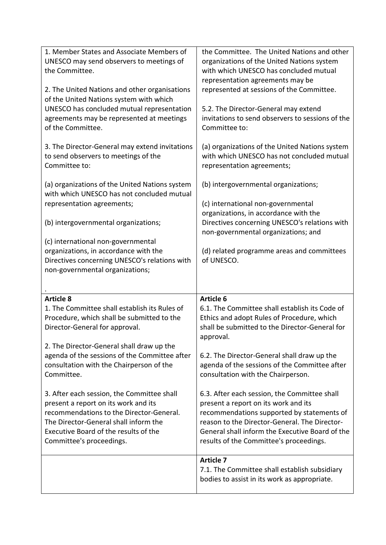| 1. Member States and Associate Members of                                                                                                                                                                                                                                                                                             | the Committee. The United Nations and other                                                                                                                                                                                                                             |
|---------------------------------------------------------------------------------------------------------------------------------------------------------------------------------------------------------------------------------------------------------------------------------------------------------------------------------------|-------------------------------------------------------------------------------------------------------------------------------------------------------------------------------------------------------------------------------------------------------------------------|
| UNESCO may send observers to meetings of                                                                                                                                                                                                                                                                                              | organizations of the United Nations system                                                                                                                                                                                                                              |
| the Committee.                                                                                                                                                                                                                                                                                                                        | with which UNESCO has concluded mutual                                                                                                                                                                                                                                  |
| 2. The United Nations and other organisations                                                                                                                                                                                                                                                                                         | representation agreements may be                                                                                                                                                                                                                                        |
| of the United Nations system with which                                                                                                                                                                                                                                                                                               | represented at sessions of the Committee.                                                                                                                                                                                                                               |
| UNESCO has concluded mutual representation                                                                                                                                                                                                                                                                                            | 5.2. The Director-General may extend                                                                                                                                                                                                                                    |
| agreements may be represented at meetings                                                                                                                                                                                                                                                                                             | invitations to send observers to sessions of the                                                                                                                                                                                                                        |
| of the Committee.                                                                                                                                                                                                                                                                                                                     | Committee to:                                                                                                                                                                                                                                                           |
| 3. The Director-General may extend invitations                                                                                                                                                                                                                                                                                        | (a) organizations of the United Nations system                                                                                                                                                                                                                          |
| to send observers to meetings of the                                                                                                                                                                                                                                                                                                  | with which UNESCO has not concluded mutual                                                                                                                                                                                                                              |
| Committee to:                                                                                                                                                                                                                                                                                                                         | representation agreements;                                                                                                                                                                                                                                              |
| (a) organizations of the United Nations system<br>with which UNESCO has not concluded mutual<br>representation agreements;<br>(b) intergovernmental organizations;<br>(c) international non-governmental<br>organizations, in accordance with the<br>Directives concerning UNESCO's relations with<br>non-governmental organizations; | (b) intergovernmental organizations;<br>(c) international non-governmental<br>organizations, in accordance with the<br>Directives concerning UNESCO's relations with<br>non-governmental organizations; and<br>(d) related programme areas and committees<br>of UNESCO. |
| <b>Article 8</b>                                                                                                                                                                                                                                                                                                                      | <b>Article 6</b>                                                                                                                                                                                                                                                        |
| 1. The Committee shall establish its Rules of                                                                                                                                                                                                                                                                                         | 6.1. The Committee shall establish its Code of                                                                                                                                                                                                                          |
| Procedure, which shall be submitted to the                                                                                                                                                                                                                                                                                            | Ethics and adopt Rules of Procedure, which                                                                                                                                                                                                                              |
| Director-General for approval.                                                                                                                                                                                                                                                                                                        | shall be submitted to the Director-General for                                                                                                                                                                                                                          |
| 2. The Director-General shall draw up the                                                                                                                                                                                                                                                                                             | approval.                                                                                                                                                                                                                                                               |
| agenda of the sessions of the Committee after                                                                                                                                                                                                                                                                                         | 6.2. The Director-General shall draw up the                                                                                                                                                                                                                             |
| consultation with the Chairperson of the                                                                                                                                                                                                                                                                                              | agenda of the sessions of the Committee after                                                                                                                                                                                                                           |
| Committee.                                                                                                                                                                                                                                                                                                                            | consultation with the Chairperson.                                                                                                                                                                                                                                      |
| 3. After each session, the Committee shall                                                                                                                                                                                                                                                                                            | 6.3. After each session, the Committee shall                                                                                                                                                                                                                            |
| present a report on its work and its                                                                                                                                                                                                                                                                                                  | present a report on its work and its                                                                                                                                                                                                                                    |
| recommendations to the Director-General.                                                                                                                                                                                                                                                                                              | recommendations supported by statements of                                                                                                                                                                                                                              |
| The Director-General shall inform the                                                                                                                                                                                                                                                                                                 | reason to the Director-General. The Director-                                                                                                                                                                                                                           |
| Executive Board of the results of the                                                                                                                                                                                                                                                                                                 | General shall inform the Executive Board of the                                                                                                                                                                                                                         |
| Committee's proceedings.                                                                                                                                                                                                                                                                                                              | results of the Committee's proceedings.                                                                                                                                                                                                                                 |
|                                                                                                                                                                                                                                                                                                                                       | <b>Article 7</b><br>7.1. The Committee shall establish subsidiary<br>bodies to assist in its work as appropriate.                                                                                                                                                       |